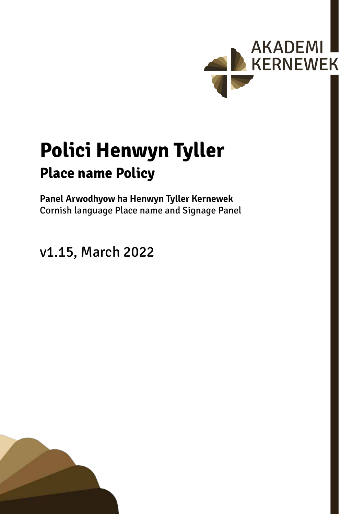

# **Polici Henwyn Tyller Place name Policy**

**Panel Arwodhyow ha Henwyn Tyller Kernewek** Cornish language Place name and Signage Panel

v1.15, March 2022

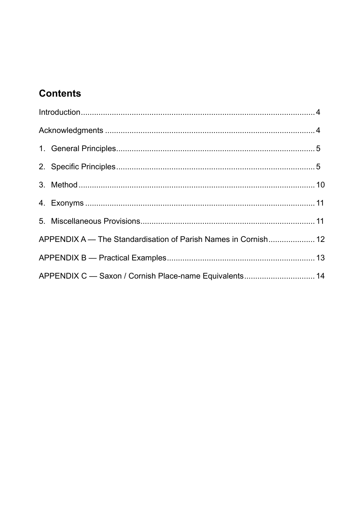# **Contents**

| APPENDIX A - The Standardisation of Parish Names in Cornish 12 |  |  |  |  |
|----------------------------------------------------------------|--|--|--|--|
|                                                                |  |  |  |  |
| APPENDIX C - Saxon / Cornish Place-name Equivalents 14         |  |  |  |  |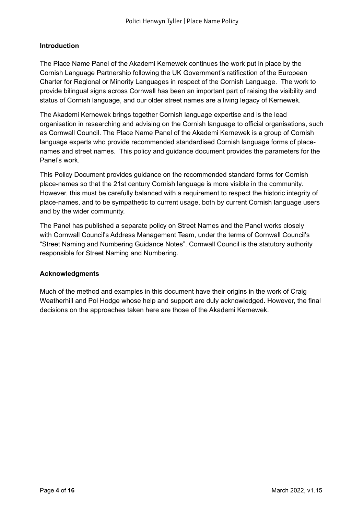# <span id="page-3-0"></span>**Introduction**

The Place Name Panel of the Akademi Kernewek continues the work put in place by the Cornish Language Partnership following the UK Government's ratification of the European Charter for Regional or Minority Languages in respect of the Cornish Language. The work to provide bilingual signs across Cornwall has been an important part of raising the visibility and status of Cornish language, and our older street names are a living legacy of Kernewek.

The Akademi Kernewek brings together Cornish language expertise and is the lead organisation in researching and advising on the Cornish language to official organisations, such as Cornwall Council. The Place Name Panel of the Akademi Kernewek is a group of Cornish language experts who provide recommended standardised Cornish language forms of placenames and street names. This policy and guidance document provides the parameters for the Panel's work.

This Policy Document provides guidance on the recommended standard forms for Cornish place-names so that the 21st century Cornish language is more visible in the community. However, this must be carefully balanced with a requirement to respect the historic integrity of place-names, and to be sympathetic to current usage, both by current Cornish language users and by the wider community.

The Panel has published a separate policy on Street Names and the Panel works closely with Cornwall Council's Address Management Team, under the terms of Cornwall Council's "Street Naming and Numbering Guidance Notes". Cornwall Council is the statutory authority responsible for Street Naming and Numbering.

# **Acknowledgments**

Much of the method and examples in this document have their origins in the work of Craig Weatherhill and Pol Hodge whose help and support are duly acknowledged. However, the final decisions on the approaches taken here are those of the Akademi Kernewek.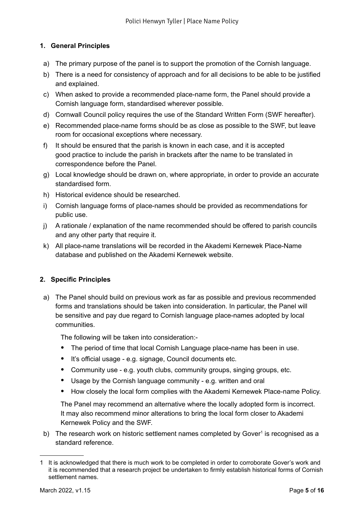# <span id="page-4-0"></span>**1. General Principles**

- a) The primary purpose of the panel is to support the promotion of the Cornish language.
- b) There is a need for consistency of approach and for all decisions to be able to be justified and explained.
- c) When asked to provide a recommended place-name form, the Panel should provide a Cornish language form, standardised wherever possible.
- d) Cornwall Council policy requires the use of the Standard Written Form (SWF hereafter).
- e) Recommended place-name forms should be as close as possible to the SWF, but leave room for occasional exceptions where necessary.
- f) It should be ensured that the parish is known in each case, and it is accepted good practice to include the parish in brackets after the name to be translated in correspondence before the Panel.
- g) Local knowledge should be drawn on, where appropriate, in order to provide an accurate standardised form.
- h) Historical evidence should be researched.
- i) Cornish language forms of place-names should be provided as recommendations for public use.
- j) A rationale / explanation of the name recommended should be offered to parish councils and any other party that require it.
- k) All place-name translations will be recorded in the Akademi Kernewek Place-Name database and published on the Akademi Kernewek website.

# **2. Specific Principles**

a) The Panel should build on previous work as far as possible and previous recommended forms and translations should be taken into consideration. In particular, the Panel will be sensitive and pay due regard to Cornish language place-names adopted by local communities.

The following will be taken into consideration:-

- The period of time that local Cornish Language place-name has been in use.
- It's official usage e.g. signage, Council documents etc.
- Community use e.g. youth clubs, community groups, singing groups, etc.
- Usage by the Cornish language community e.g. written and oral
- How closely the local form complies with the Akademi Kernewek Place-name Policy.

The Panel may recommend an alternative where the locally adopted form is incorrect. It may also recommend minor alterations to bring the local form closer to Akademi Kernewek Policy and the SWF.

b) The research work on historic settlement names completed by Gover<sup>1</sup> is recognised as a standard reference.

<sup>1</sup> It is acknowledged that there is much work to be completed in order to corroborate Gover's work and it is recommended that a research project be undertaken to firmly establish historical forms of Cornish settlement names.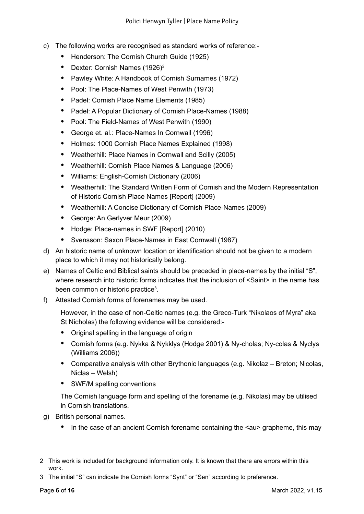- c) The following works are recognised as standard works of reference:-
	- Henderson: The Cornish Church Guide (1925)
	- Dexter: Cornish Names (1926)<sup>2</sup>
	- Pawley White: A Handbook of Cornish Surnames (1972)
	- Pool: The Place-Names of West Penwith (1973)
	- Padel: Cornish Place Name Elements (1985)
	- Padel: A Popular Dictionary of Cornish Place-Names (1988)
	- Pool: The Field-Names of West Penwith (1990)
	- George et. al.: Place-Names In Cornwall (1996)
	- Holmes: 1000 Cornish Place Names Explained (1998)
	- Weatherhill: Place Names in Cornwall and Scilly (2005)
	- Weatherhill: Cornish Place Names & Language (2006)
	- Williams: English-Cornish Dictionary (2006)
	- Weatherhill: The Standard Written Form of Cornish and the Modern Representation of Historic Cornish Place Names [Report] (2009)
	- Weatherhill: A Concise Dictionary of Cornish Place-Names (2009)
	- George: An Gerlyver Meur (2009)
	- Hodge: Place-names in SWF [Report] (2010)
	- Svensson: Saxon Place-Names in East Cornwall (1987)
- d) An historic name of unknown location or identification should not be given to a modern place to which it may not historically belong.
- e) Names of Celtic and Biblical saints should be preceded in place-names by the initial "S", where research into historic forms indicates that the inclusion of <Saint> in the name has been common or historic practice<sup>3</sup>.
- f) Attested Cornish forms of forenames may be used.

However, in the case of non-Celtic names (e.g. the Greco-Turk "Nikolaos of Myra" aka St Nicholas) the following evidence will be considered:-

- Original spelling in the language of origin
- Cornish forms (e.g. Nykka & Nykklys (Hodge 2001) & Ny-cholas; Ny-colas & Nyclys (Williams 2006))
- Comparative analysis with other Brythonic languages (e.g. Nikolaz Breton; Nicolas, Niclas – Welsh)
- SWF/M spelling conventions

The Cornish language form and spelling of the forename (e.g. Nikolas) may be utilised in Cornish translations.

- g) British personal names.
	- In the case of an ancient Cornish forename containing the  $\leq$  au is approprience, this may

<sup>2</sup> This work is included for background information only. It is known that there are errors within this work.

<sup>3</sup> The initial "S" can indicate the Cornish forms "Synt" or "Sen" according to preference.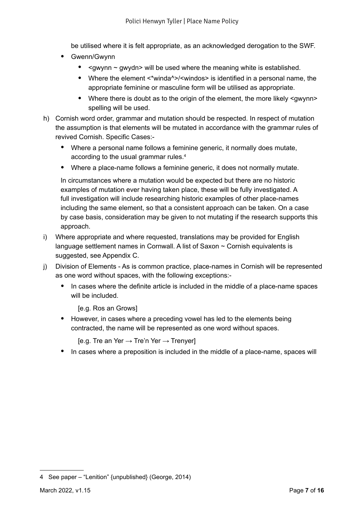be utilised where it is felt appropriate, as an acknowledged derogation to the SWF.

- Gwenn/Gwynn
	- < gwynn ~ gwydn> will be used where the meaning white is established.
	- Where the element <\*winda^>/<windos> is identified in a personal name, the appropriate feminine or masculine form will be utilised as appropriate.
	- Where there is doubt as to the origin of the element, the more likely <gwynn> spelling will be used.
- h) Cornish word order, grammar and mutation should be respected. In respect of mutation the assumption is that elements will be mutated in accordance with the grammar rules of revived Cornish. Specific Cases:-
	- Where a personal name follows a feminine generic, it normally does mutate, according to the usual grammar rules.4
	- Where a place-name follows a feminine generic, it does not normally mutate.

In circumstances where a mutation would be expected but there are no historic examples of mutation ever having taken place, these will be fully investigated. A full investigation will include researching historic examples of other place-names including the same element, so that a consistent approach can be taken. On a case by case basis, consideration may be given to not mutating if the research supports this approach.

- i) Where appropriate and where requested, translations may be provided for English language settlement names in Cornwall. A list of Saxon ~ Cornish equivalents is suggested, see Appendix C.
- j) Division of Elements As is common practice, place-names in Cornish will be represented as one word without spaces, with the following exceptions:-
	- In cases where the definite article is included in the middle of a place-name spaces will be included.

[e.g. Ros an Grows]

• However, in cases where a preceding vowel has led to the elements being contracted, the name will be represented as one word without spaces.

[e.g. Tre an Yer  $\rightarrow$  Tre'n Yer  $\rightarrow$  Trenyer]

• In cases where a preposition is included in the middle of a place-name, spaces will

<sup>4</sup> See paper – "Lenition" {unpublished} (George, 2014)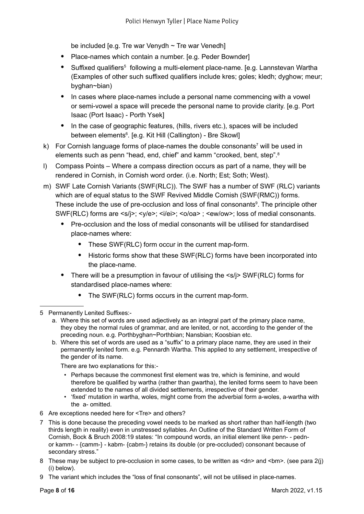be included [e.g. Tre war Venydh  $\sim$  Tre war Venedh]

- Place-names which contain a number. [e.g. Peder Bownder]
- Suffixed qualifiers<sup>5</sup> following a multi-element place-name. [e.g. Lannstevan Wartha (Examples of other such suffixed qualifiers include kres; goles; kledh; dyghow; meur; byghan~bian)
- In cases where place-names include a personal name commencing with a vowel or semi-vowel a space will precede the personal name to provide clarity. [e.g. Port Isaac (Port Isaac) - Porth Ysek]
- In the case of geographic features, (hills, rivers etc.), spaces will be included between elements<sup>6</sup>. [e.g. Kit Hill (Callington) - Bre Skowl]
- k) For Cornish language forms of place-names the double consonants<sup>7</sup> will be used in elements such as penn "head, end, chief" and kamm "crooked, bent, step".8
- l) Compass Points Where a compass direction occurs as part of a name, they will be rendered in Cornish, in Cornish word order. (i.e. North; Est; Soth; West).
- m) SWF Late Cornish Variants (SWF(RLC)). The SWF has a number of SWF (RLC) variants which are of equal status to the SWF Revived Middle Cornish (SWF(RMC)) forms. These include the use of pre-occlusion and loss of final consonants $\degree$ . The principle other SWF(RLC) forms are <s/j>; <y/e>; <i/ei>; <o/oa>; <ew/ow>; loss of medial consonants.
	- Pre-occlusion and the loss of medial consonants will be utilised for standardised place-names where:
		- These SWF(RLC) form occur in the current map-form.
		- Historic forms show that these SWF(RLC) forms have been incorporated into the place-name.
	- There will be a presumption in favour of utilising the  $\leq$ s/j> SWF(RLC) forms for standardised place-names where:
		- The SWF(RLC) forms occurs in the current map-form.
- 5 Permanently Lenited Suffixes:
	- a. Where this set of words are used adjectively as an integral part of the primary place name, they obey the normal rules of grammar, and are lenited, or not, according to the gender of the preceding noun. e.g. Porthbyghan~Porthbian; Nansbian; Koosbian etc.
	- b. Where this set of words are used as a "suffix" to a primary place name, they are used in their permanently lenited form. e.g. Pennardh Wartha. This applied to any settlement, irrespective of the gender of its name.

There are two explanations for this:-

- Perhaps because the commonest first element was tre, which is feminine, and would therefore be qualified by wartha (rather than gwartha), the lenited forms seem to have been extended to the names of all divided settlements, irrespective of their gender.
- 'fixed' mutation in wartha, woles, might come from the adverbial form a-woles, a-wartha with the a- omitted.
- 6 Are exceptions needed here for <Tre> and others?
- 7 This is done because the preceding vowel needs to be marked as short rather than half-length (two thirds length in reality) even in unstressed syllables. An Outline of the Standard Written Form of Cornish, Bock & Bruch 2008:19 states: "In compound words, an initial element like penn- - pednor kamm- - {camm-} - kabm- {cabm-} retains its double (or pre-occluded) consonant because of secondary stress."
- 8 These may be subject to pre-occlusion in some cases, to be written as <dn> and <br/>shm>. (see para 2(j) (i) below).
- 9 The variant which includes the "loss of final consonants", will not be utilised in place-names.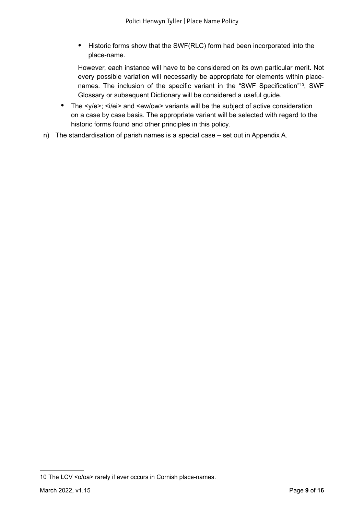• Historic forms show that the SWF(RLC) form had been incorporated into the place-name.

However, each instance will have to be considered on its own particular merit. Not every possible variation will necessarily be appropriate for elements within placenames. The inclusion of the specific variant in the "SWF Specification"10, SWF Glossary or subsequent Dictionary will be considered a useful guide.

- The <y/e>; <i/ei> and <ew/ow> variants will be the subject of active consideration on a case by case basis. The appropriate variant will be selected with regard to the historic forms found and other principles in this policy.
- n) The standardisation of parish names is a special case set out in Appendix A.

<sup>10</sup> The LCV <o/oa> rarely if ever occurs in Cornish place-names.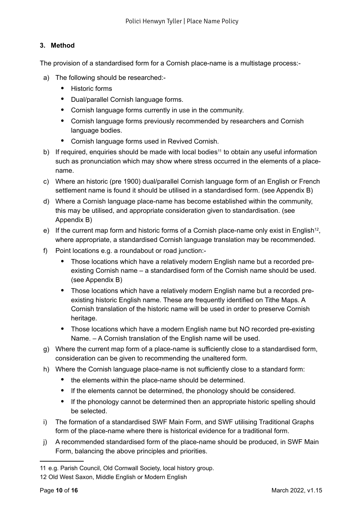# <span id="page-9-0"></span>**3. Method**

The provision of a standardised form for a Cornish place-name is a multistage process:-

- a) The following should be researched:-
	- Historic forms
	- Dual/parallel Cornish language forms.
	- Cornish language forms currently in use in the community.
	- Cornish language forms previously recommended by researchers and Cornish language bodies.
	- Cornish language forms used in Revived Cornish.
- b) If required, enquiries should be made with local bodies<sup>11</sup> to obtain any useful information such as pronunciation which may show where stress occurred in the elements of a placename.
- c) Where an historic (pre 1900) dual/parallel Cornish language form of an English or French settlement name is found it should be utilised in a standardised form. (see Appendix B)
- d) Where a Cornish language place-name has become established within the community, this may be utilised, and appropriate consideration given to standardisation. (see Appendix B)
- e) If the current map form and historic forms of a Cornish place-name only exist in English<sup>12</sup>, where appropriate, a standardised Cornish language translation may be recommended.
- f) Point locations e.g. a roundabout or road junction:-
	- Those locations which have a relatively modern English name but a recorded preexisting Cornish name – a standardised form of the Cornish name should be used. (see Appendix B)
	- Those locations which have a relatively modern English name but a recorded preexisting historic English name. These are frequently identified on Tithe Maps. A Cornish translation of the historic name will be used in order to preserve Cornish heritage.
	- Those locations which have a modern English name but NO recorded pre-existing Name. – A Cornish translation of the English name will be used.
- g) Where the current map form of a place-name is sufficiently close to a standardised form, consideration can be given to recommending the unaltered form.
- h) Where the Cornish language place-name is not sufficiently close to a standard form:
	- the elements within the place-name should be determined.
	- If the elements cannot be determined, the phonology should be considered.
	- If the phonology cannot be determined then an appropriate historic spelling should be selected.
- i) The formation of a standardised SWF Main Form, and SWF utilising Traditional Graphs form of the place-name where there is historical evidence for a traditional form.
- j) A recommended standardised form of the place-name should be produced, in SWF Main Form, balancing the above principles and priorities.

<sup>11</sup> e.g. Parish Council, Old Cornwall Society, local history group.

<sup>12</sup> Old West Saxon, Middle English or Modern English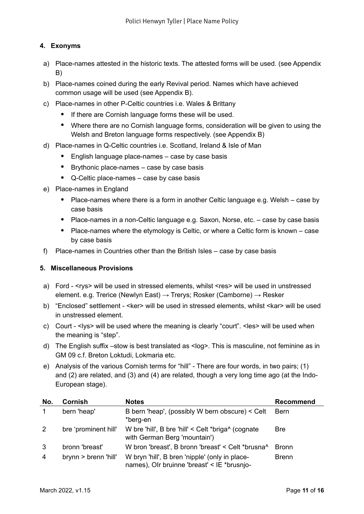# <span id="page-10-0"></span>**4. Exonyms**

- a) Place-names attested in the historic texts. The attested forms will be used. (see Appendix B)
- b) Place-names coined during the early Revival period. Names which have achieved common usage will be used (see Appendix B).
- c) Place-names in other P-Celtic countries i.e. Wales & Brittany
	- If there are Cornish language forms these will be used.
	- Where there are no Cornish language forms, consideration will be given to using the Welsh and Breton language forms respectively. (see Appendix B)
- d) Place-names in Q-Celtic countries i.e. Scotland, Ireland & Isle of Man
	- English language place-names case by case basis
	- Brythonic place-names case by case basis
	- Q-Celtic place-names case by case basis
- e) Place-names in England
	- Place-names where there is a form in another Celtic language e.g. Welsh case by case basis
	- Place-names in a non-Celtic language e.g. Saxon, Norse, etc. case by case basis
	- Place-names where the etymology is Celtic, or where a Celtic form is known case by case basis
- f) Place-names in Countries other than the British Isles case by case basis

# **5. Miscellaneous Provisions**

- a) Ford <rys> will be used in stressed elements, whilst <res> will be used in unstressed element. e.g. Trerice (Newlyn East) → Trerys; Rosker (Camborne) → Resker
- b) "Enclosed" settlement <ker> will be used in stressed elements, whilst <kar> will be used in unstressed element.
- c) Court <lys> will be used where the meaning is clearly "court". <les> will be used when the meaning is "step".
- d) The English suffix –stow is best translated as <log>. This is masculine, not feminine as in GM 09 c.f. Breton Loktudi, Lokmaria etc.
- e) Analysis of the various Cornish terms for "hill" There are four words, in two pairs; (1) and (2) are related, and (3) and (4) are related, though a very long time ago (at the Indo-European stage).

| No. | <b>Cornish</b>       | <b>Notes</b>                                                                                  | <b>Recommend</b> |
|-----|----------------------|-----------------------------------------------------------------------------------------------|------------------|
|     | bern 'heap'          | B bern 'heap', (possibly W bern obscure) < Celt<br>*berg-en                                   | <b>Bern</b>      |
| 2   | bre 'prominent hill' | W bre 'hill', B bre 'hill' < Celt *briga^ (cognate<br>with German Berg 'mountain')            | <b>Bre</b>       |
| 3   | bronn 'breast'       | W bron 'breast', B bronn 'breast' < Celt *brusna^                                             | <b>Bronn</b>     |
| 4   | brynn > brenn 'hill' | W bryn 'hill', B bren 'nipple' (only in place-<br>names), Olr bruinne 'breast' < IE *brusnjo- | <b>Brenn</b>     |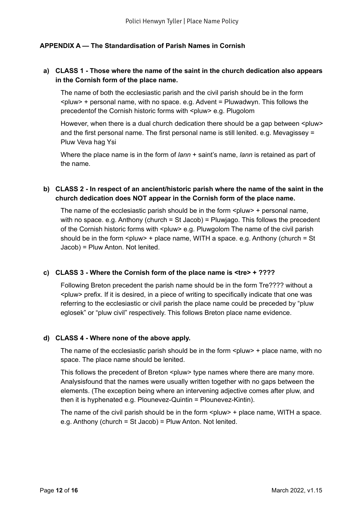## <span id="page-11-0"></span>**APPENDIX A — The Standardisation of Parish Names in Cornish**

## **a) CLASS 1 - Those where the name of the saint in the church dedication also appears in the Cornish form of the place name.**

The name of both the ecclesiastic parish and the civil parish should be in the form  $\epsilon$ pluw> + personal name, with no space. e.g. Advent = Pluwadwyn. This follows the precedentof the Cornish historic forms with <pluw> e.g. Plugolom

However, when there is a dual church dedication there should be a gap between <pluw> and the first personal name. The first personal name is still lenited. e.g. Mevagissey = Pluw Veva hag Ysi

Where the place name is in the form of *lann* + saint's name, *lann* is retained as part of the name.

# **b) CLASS 2 - In respect of an ancient/historic parish where the name of the saint in the church dedication does NOT appear in the Cornish form of the place name.**

The name of the ecclesiastic parish should be in the form  $\langle$  pluw> + personal name, with no space. e.g. Anthony (church = St Jacob) = Pluwjago. This follows the precedent of the Cornish historic forms with <pluw> e.g. Pluwgolom The name of the civil parish should be in the form  $\leq$  pluw> + place name, WITH a space. e.g. Anthony (church = St Jacob) = Pluw Anton. Not lenited.

#### **c) CLASS 3 - Where the Cornish form of the place name is <tre> + ????**

Following Breton precedent the parish name should be in the form Tre???? without a <pluw> prefix. If it is desired, in a piece of writing to specifically indicate that one was referring to the ecclesiastic or civil parish the place name could be preceded by "pluw eglosek" or "pluw civil" respectively. This follows Breton place name evidence.

#### **d) CLASS 4 - Where none of the above apply.**

The name of the ecclesiastic parish should be in the form  $\langle$ pluw  $\rangle$  + place name, with no space. The place name should be lenited.

This follows the precedent of Breton <pluw> type names where there are many more. Analysisfound that the names were usually written together with no gaps between the elements. (The exception being where an intervening adjective comes after pluw, and then it is hyphenated e.g. Plounevez-Quintin = Plounevez-Kintin).

The name of the civil parish should be in the form  $\leq$  pluw> + place name. WITH a space. e.g. Anthony (church = St Jacob) = Pluw Anton. Not lenited.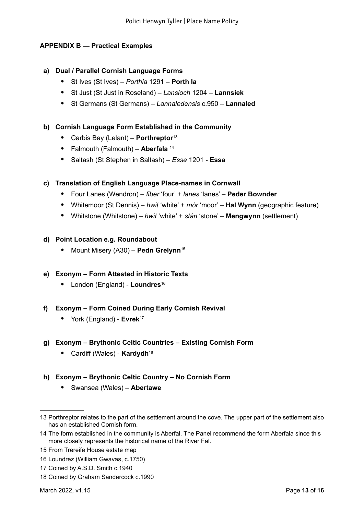# <span id="page-12-0"></span>**APPENDIX B — Practical Examples**

#### **a) Dual / Parallel Cornish Language Forms**

- St Ives (St Ives) *Porthia* 1291 **Porth Ia**
- St Just (St Just in Roseland) *Lansioch* 1204 **Lannsiek**
- St Germans (St Germans) *Lannaledensis* c.950 **Lannaled**

#### **b) Cornish Language Form Established in the Community**

- Carbis Bay (Lelant) **Porthreptor**<sup>13</sup>
- Falmouth (Falmouth) **Aberfala** <sup>14</sup>
- Saltash (St Stephen in Saltash) *Esse* 1201 **Essa**

## **c) Translation of English Language Place-names in Cornwall**

- Four Lanes (Wendron) *fiber* 'four' + *lanes* 'lanes' **Peder Bownder**
- Whitemoor (St Dennis) *hwit* 'white' + *mór* 'moor' **Hal Wynn** (geographic feature)
- Whitstone (Whitstone) *hwit* 'white' + *stán* 'stone' **Mengwynn** (settlement)

#### **d) Point Location e.g. Roundabout**

• Mount Misery (A30) – **Pedn Grelynn**<sup>15</sup>

#### **e) Exonym – Form Attested in Historic Texts**

• London (England) - **Loundres**<sup>16</sup>

#### **f) Exonym – Form Coined During Early Cornish Revival**

• York (England) - **Evrek**<sup>17</sup>

#### **g) Exonym – Brythonic Celtic Countries – Existing Cornish Form**

• Cardiff (Wales) - **Kardydh**<sup>18</sup>

# **h) Exonym – Brythonic Celtic Country – No Cornish Form**

• Swansea (Wales) – **Abertawe**

<sup>13</sup> Porthreptor relates to the part of the settlement around the cove. The upper part of the settlement also has an established Cornish form.

<sup>14</sup> The form established in the community is Aberfal. The Panel recommend the form Aberfala since this more closely represents the historical name of the River Fal.

<sup>15</sup> From Trereife House estate map

<sup>16</sup> Loundrez (William Gwavas, c.1750)

<sup>17</sup> Coined by A.S.D. Smith c.1940

<sup>18</sup> Coined by Graham Sandercock c.1990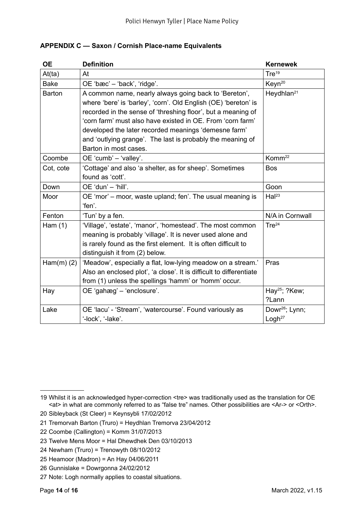| <b>OE</b>       | <b>Definition</b>                                                                                                                                                                                                                                                                                                                                                                                     | <b>Kernewek</b>                    |
|-----------------|-------------------------------------------------------------------------------------------------------------------------------------------------------------------------------------------------------------------------------------------------------------------------------------------------------------------------------------------------------------------------------------------------------|------------------------------------|
| At(ta)          | At                                                                                                                                                                                                                                                                                                                                                                                                    | Tre <sup>19</sup>                  |
| <b>Bake</b>     | OE 'bæc' - 'back', 'ridge'.                                                                                                                                                                                                                                                                                                                                                                           | Keyn <sup>20</sup>                 |
| <b>Barton</b>   | A common name, nearly always going back to 'Bereton',<br>where 'bere' is 'barley', 'corn'. Old English (OE) 'bereton' is<br>recorded in the sense of 'threshing floor', but a meaning of<br>'corn farm' must also have existed in OE. From 'corn farm'<br>developed the later recorded meanings 'demesne farm'<br>and 'outlying grange'. The last is probably the meaning of<br>Barton in most cases. | Heydhlan <sup>21</sup>             |
| Coombe          | OE 'cumb' - 'valley'.                                                                                                                                                                                                                                                                                                                                                                                 | Komm <sup>22</sup>                 |
| Cot, cote       | 'Cottage' and also 'a shelter, as for sheep'. Sometimes<br>found as 'cott'.                                                                                                                                                                                                                                                                                                                           | <b>Bos</b>                         |
| Down            | OE 'dun' - 'hill'.                                                                                                                                                                                                                                                                                                                                                                                    | Goon                               |
| Moor            | OE 'mor' – moor, waste upland; fen'. The usual meaning is<br>'fen'.                                                                                                                                                                                                                                                                                                                                   | Hal <sup>23</sup>                  |
| Fenton          | 'Tun' by a fen.                                                                                                                                                                                                                                                                                                                                                                                       | N/A in Cornwall                    |
| Ham $(1)$       | 'Village', 'estate', 'manor', 'homestead'. The most common<br>meaning is probably 'village'. It is never used alone and<br>is rarely found as the first element. It is often difficult to<br>distinguish it from (2) below.                                                                                                                                                                           | Tre <sup>24</sup>                  |
| Ham $(m)$ $(2)$ | 'Meadow', especially a flat, low-lying meadow on a stream.'<br>Also an enclosed plot', 'a close'. It is difficult to differentiate<br>from (1) unless the spellings 'hamm' or 'homm' occur.                                                                                                                                                                                                           | Pras                               |
| Hay             | OE 'gahæg' - 'enclosure'.                                                                                                                                                                                                                                                                                                                                                                             | Hay <sup>25</sup> ; ?Kew;<br>?Lann |
| Lake            | OE 'lacu' - 'Stream', 'watercourse'. Found variously as                                                                                                                                                                                                                                                                                                                                               | Dowr <sup>26</sup> ; Lynn;         |
|                 | '-lock', '-lake'.                                                                                                                                                                                                                                                                                                                                                                                     | Logh <sup>27</sup>                 |

# <span id="page-13-0"></span>**APPENDIX C — Saxon / Cornish Place-name Equivalents**

<sup>19</sup> Whilst it is an acknowledged hyper-correction <tre> was traditionally used as the translation for OE <at> in what are commonly referred to as "false tre" names. Other possibilities are <Ar-> or <Orth>.

<sup>20</sup> Sibleyback (St Cleer) = Keynsybli 17/02/2012

<sup>21</sup> Tremorvah Barton (Truro) = Heydhlan Tremorva 23/04/2012

<sup>22</sup> Coombe (Callington) = Komm 31/07/2013

<sup>23</sup> Twelve Mens Moor = Hal Dhewdhek Den 03/10/2013

<sup>24</sup> Newham (Truro) = Trenowyth 08/10/2012

<sup>25</sup> Heamoor (Madron) = An Hay 04/06/2011

<sup>26</sup> Gunnislake = Dowrgonna 24/02/2012

<sup>27</sup> Note: Logh normally applies to coastal situations.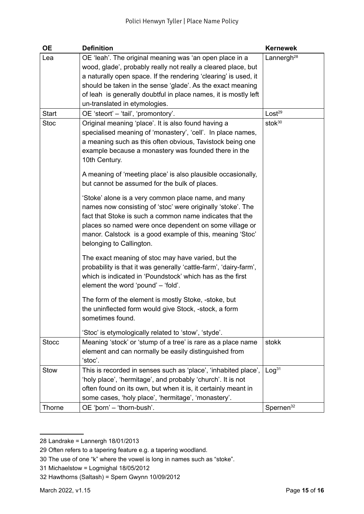| <b>OE</b>                          | <b>Definition</b>                                                                                                                                                                                                                                                                                                                                                                                                                                                                                                                                                                                                                                                | <b>Kernewek</b>                                              |
|------------------------------------|------------------------------------------------------------------------------------------------------------------------------------------------------------------------------------------------------------------------------------------------------------------------------------------------------------------------------------------------------------------------------------------------------------------------------------------------------------------------------------------------------------------------------------------------------------------------------------------------------------------------------------------------------------------|--------------------------------------------------------------|
| Lea<br><b>Start</b><br><b>Stoc</b> | OE 'leah'. The original meaning was 'an open place in a<br>wood, glade', probably really not really a cleared place, but<br>a naturally open space. If the rendering 'clearing' is used, it<br>should be taken in the sense 'glade'. As the exact meaning<br>of leah is generally doubtful in place names, it is mostly left<br>un-translated in etymologies.<br>OE 'steort' - 'tail', 'promontory'.<br>Original meaning 'place'. It is also found having a<br>specialised meaning of 'monastery', 'cell'. In place names,<br>a meaning such as this often obvious, Tavistock being one<br>example because a monastery was founded there in the<br>10th Century. | Lannergh <sup>28</sup><br>Lost <sup>29</sup><br>sto $k^{30}$ |
|                                    | A meaning of 'meeting place' is also plausible occasionally,<br>but cannot be assumed for the bulk of places.<br>'Stoke' alone is a very common place name, and many<br>names now consisting of 'stoc' were originally 'stoke'. The<br>fact that Stoke is such a common name indicates that the<br>places so named were once dependent on some village or<br>manor. Calstock is a good example of this, meaning 'Stoc'<br>belonging to Callington.                                                                                                                                                                                                               |                                                              |
|                                    | The exact meaning of stoc may have varied, but the<br>probability is that it was generally 'cattle-farm', 'dairy-farm',<br>which is indicated in 'Poundstock' which has as the first<br>element the word 'pound' - 'fold'.<br>The form of the element is mostly Stoke, -stoke, but<br>the uninflected form would give Stock, -stock, a form<br>sometimes found.<br>'Stoc' is etymologically related to 'stow', 'styde'.                                                                                                                                                                                                                                          |                                                              |
| <b>Stocc</b>                       | Meaning 'stock' or 'stump of a tree' is rare as a place name<br>element and can normally be easily distinguished from<br>'stoc'.                                                                                                                                                                                                                                                                                                                                                                                                                                                                                                                                 | stokk                                                        |
| Stow                               | This is recorded in senses such as 'place', 'inhabited place',<br>'holy place', 'hermitage', and probably 'church'. It is not<br>often found on its own, but when it is, it certainly meant in<br>some cases, 'holy place', 'hermitage', 'monastery'.                                                                                                                                                                                                                                                                                                                                                                                                            | Log <sup>31</sup>                                            |
| Thorne                             | OE 'porn' - 'thorn-bush'.                                                                                                                                                                                                                                                                                                                                                                                                                                                                                                                                                                                                                                        | Spernen <sup>32</sup>                                        |

<sup>28</sup> Landrake = Lannergh 18/01/2013

- 31 Michaelstow = Logmighal 18/05/2012
- 32 Hawthorns (Saltash) = Spern Gwynn 10/09/2012

<sup>29</sup> Often refers to a tapering feature e.g. a tapering woodland.

<sup>30</sup> The use of one "k" where the vowel is long in names such as "stoke".